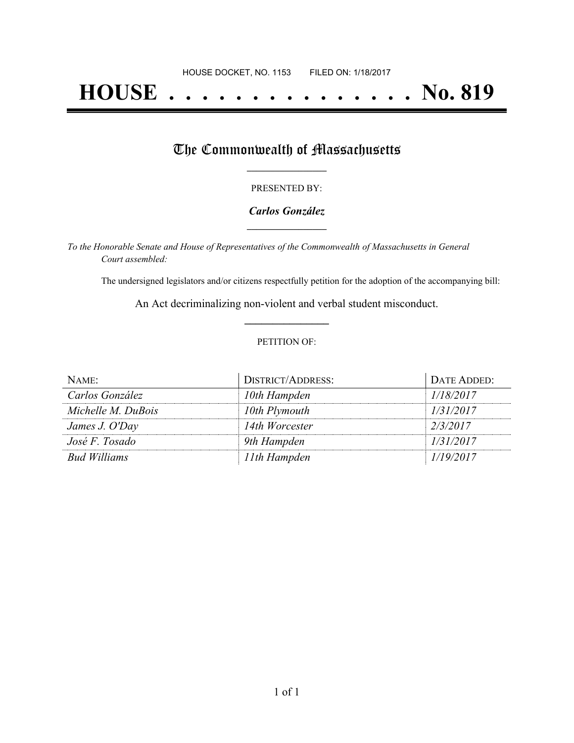# **HOUSE . . . . . . . . . . . . . . . No. 819**

## The Commonwealth of Massachusetts

#### PRESENTED BY:

#### *Carlos González* **\_\_\_\_\_\_\_\_\_\_\_\_\_\_\_\_\_**

*To the Honorable Senate and House of Representatives of the Commonwealth of Massachusetts in General Court assembled:*

The undersigned legislators and/or citizens respectfully petition for the adoption of the accompanying bill:

An Act decriminalizing non-violent and verbal student misconduct. **\_\_\_\_\_\_\_\_\_\_\_\_\_\_\_**

#### PETITION OF:

| NAME:               | <b>DISTRICT/ADDRESS:</b> | DATE ADDED: |
|---------------------|--------------------------|-------------|
| Carlos González     | 10th Hampden             | 1/18/2017   |
| Michelle M. DuBois  | 10th Plymouth            | 1/31/2017   |
| James J. O'Day      | 14th Worcester           | 2/3/2017    |
| José F. Tosado      | 9th Hampden              | 1/31/2017   |
| <b>Bud Williams</b> | 11th Hampden             | 1/19/2017   |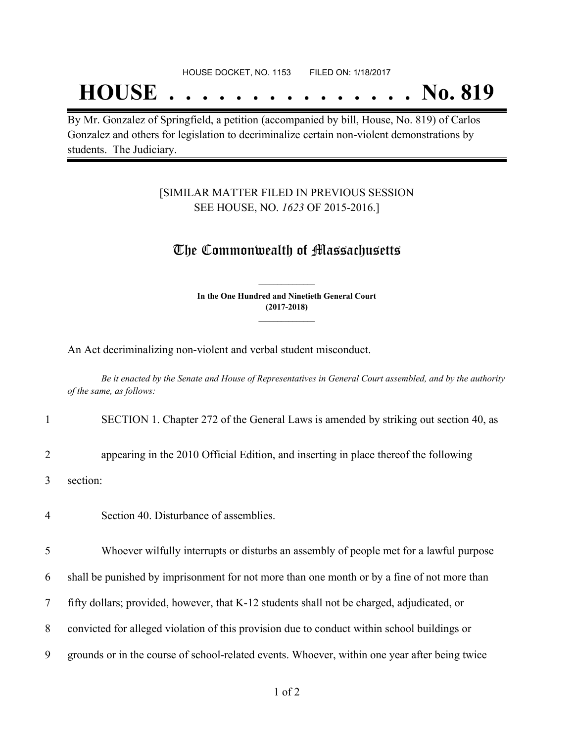#### HOUSE DOCKET, NO. 1153 FILED ON: 1/18/2017

## **HOUSE . . . . . . . . . . . . . . . No. 819**

By Mr. Gonzalez of Springfield, a petition (accompanied by bill, House, No. 819) of Carlos Gonzalez and others for legislation to decriminalize certain non-violent demonstrations by students. The Judiciary.

### [SIMILAR MATTER FILED IN PREVIOUS SESSION SEE HOUSE, NO. *1623* OF 2015-2016.]

## The Commonwealth of Massachusetts

**In the One Hundred and Ninetieth General Court (2017-2018) \_\_\_\_\_\_\_\_\_\_\_\_\_\_\_**

**\_\_\_\_\_\_\_\_\_\_\_\_\_\_\_**

An Act decriminalizing non-violent and verbal student misconduct.

Be it enacted by the Senate and House of Representatives in General Court assembled, and by the authority *of the same, as follows:*

## 1 SECTION 1. Chapter 272 of the General Laws is amended by striking out section 40, as

2 appearing in the 2010 Official Edition, and inserting in place thereof the following

3 section:

4 Section 40. Disturbance of assemblies.

5 Whoever wilfully interrupts or disturbs an assembly of people met for a lawful purpose

6 shall be punished by imprisonment for not more than one month or by a fine of not more than

7 fifty dollars; provided, however, that K-12 students shall not be charged, adjudicated, or

8 convicted for alleged violation of this provision due to conduct within school buildings or

9 grounds or in the course of school-related events. Whoever, within one year after being twice